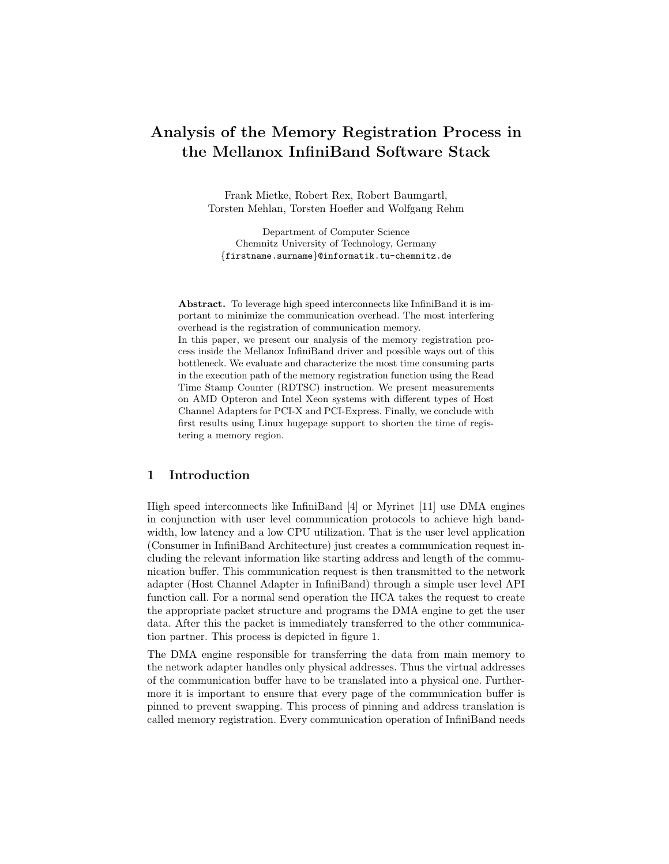# Analysis of the Memory Registration Process in the Mellanox InfiniBand Software Stack

Frank Mietke, Robert Rex, Robert Baumgartl, Torsten Mehlan, Torsten Hoefler and Wolfgang Rehm

Department of Computer Science Chemnitz University of Technology, Germany {firstname.surname}@informatik.tu-chemnitz.de

Abstract. To leverage high speed interconnects like InfiniBand it is important to minimize the communication overhead. The most interfering overhead is the registration of communication memory. In this paper, we present our analysis of the memory registration process inside the Mellanox InfiniBand driver and possible ways out of this bottleneck. We evaluate and characterize the most time consuming parts in the execution path of the memory registration function using the Read Time Stamp Counter (RDTSC) instruction. We present measurements on AMD Opteron and Intel Xeon systems with different types of Host Channel Adapters for PCI-X and PCI-Express. Finally, we conclude with

first results using Linux hugepage support to shorten the time of registering a memory region.

# 1 Introduction

High speed interconnects like InfiniBand [4] or Myrinet [11] use DMA engines in conjunction with user level communication protocols to achieve high bandwidth, low latency and a low CPU utilization. That is the user level application (Consumer in InfiniBand Architecture) just creates a communication request including the relevant information like starting address and length of the communication buffer. This communication request is then transmitted to the network adapter (Host Channel Adapter in InfiniBand) through a simple user level API function call. For a normal send operation the HCA takes the request to create the appropriate packet structure and programs the DMA engine to get the user data. After this the packet is immediately transferred to the other communication partner. This process is depicted in figure 1.

The DMA engine responsible for transferring the data from main memory to the network adapter handles only physical addresses. Thus the virtual addresses of the communication buffer have to be translated into a physical one. Furthermore it is important to ensure that every page of the communication buffer is pinned to prevent swapping. This process of pinning and address translation is called memory registration. Every communication operation of InfiniBand needs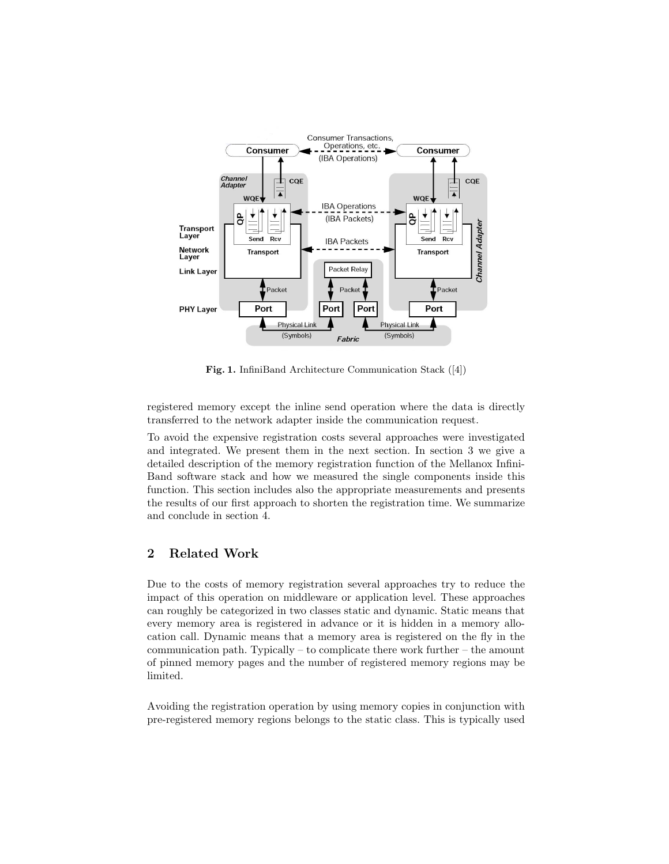

Fig. 1. InfiniBand Architecture Communication Stack ([4])

registered memory except the inline send operation where the data is directly transferred to the network adapter inside the communication request.

To avoid the expensive registration costs several approaches were investigated and integrated. We present them in the next section. In section 3 we give a detailed description of the memory registration function of the Mellanox Infini-Band software stack and how we measured the single components inside this function. This section includes also the appropriate measurements and presents the results of our first approach to shorten the registration time. We summarize and conclude in section 4.

# 2 Related Work

Due to the costs of memory registration several approaches try to reduce the impact of this operation on middleware or application level. These approaches can roughly be categorized in two classes static and dynamic. Static means that every memory area is registered in advance or it is hidden in a memory allocation call. Dynamic means that a memory area is registered on the fly in the communication path. Typically – to complicate there work further – the amount of pinned memory pages and the number of registered memory regions may be limited.

Avoiding the registration operation by using memory copies in conjunction with pre-registered memory regions belongs to the static class. This is typically used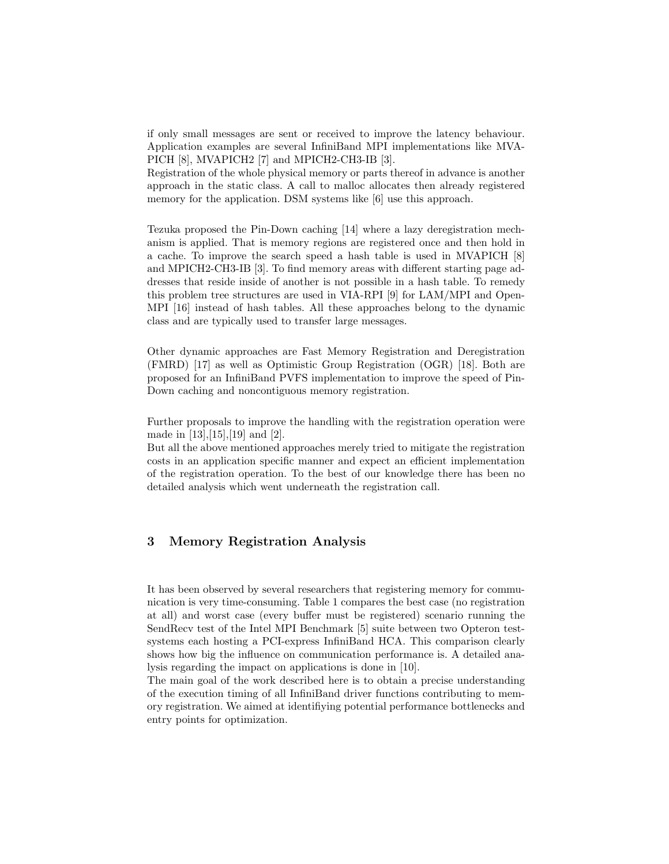if only small messages are sent or received to improve the latency behaviour. Application examples are several InfiniBand MPI implementations like MVA-PICH [8], MVAPICH2 [7] and MPICH2-CH3-IB [3].

Registration of the whole physical memory or parts thereof in advance is another approach in the static class. A call to malloc allocates then already registered memory for the application. DSM systems like [6] use this approach.

Tezuka proposed the Pin-Down caching [14] where a lazy deregistration mechanism is applied. That is memory regions are registered once and then hold in a cache. To improve the search speed a hash table is used in MVAPICH [8] and MPICH2-CH3-IB [3]. To find memory areas with different starting page addresses that reside inside of another is not possible in a hash table. To remedy this problem tree structures are used in VIA-RPI [9] for LAM/MPI and Open-MPI [16] instead of hash tables. All these approaches belong to the dynamic class and are typically used to transfer large messages.

Other dynamic approaches are Fast Memory Registration and Deregistration (FMRD) [17] as well as Optimistic Group Registration (OGR) [18]. Both are proposed for an InfiniBand PVFS implementation to improve the speed of Pin-Down caching and noncontiguous memory registration.

Further proposals to improve the handling with the registration operation were made in [13],[15],[19] and [2].

But all the above mentioned approaches merely tried to mitigate the registration costs in an application specific manner and expect an efficient implementation of the registration operation. To the best of our knowledge there has been no detailed analysis which went underneath the registration call.

## 3 Memory Registration Analysis

It has been observed by several researchers that registering memory for communication is very time-consuming. Table 1 compares the best case (no registration at all) and worst case (every buffer must be registered) scenario running the SendRecv test of the Intel MPI Benchmark [5] suite between two Opteron testsystems each hosting a PCI-express InfiniBand HCA. This comparison clearly shows how big the influence on communication performance is. A detailed analysis regarding the impact on applications is done in [10].

The main goal of the work described here is to obtain a precise understanding of the execution timing of all InfiniBand driver functions contributing to memory registration. We aimed at identifiying potential performance bottlenecks and entry points for optimization.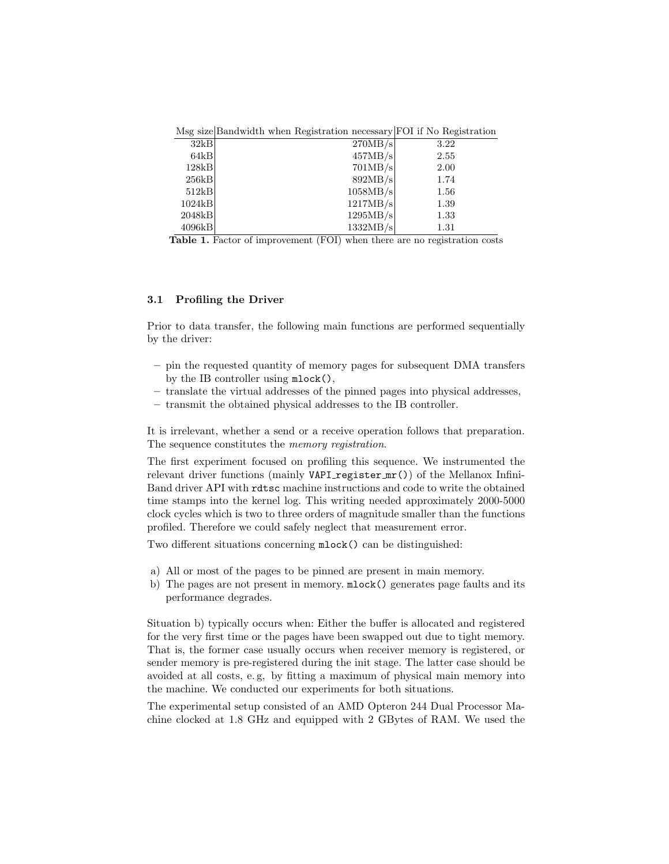Msg size Bandwidth when Registration necessary FOI if No Registration

| 32kB   | 270MB/s  | 3.22 |
|--------|----------|------|
| 64kB   | 457MB/s  | 2.55 |
| 128kB  | 701MB/s  | 2.00 |
| 256kB  | 892MB/s  | 1.74 |
| 512kB  | 1058MB/s | 1.56 |
| 1024kB | 1217MB/s | 1.39 |
| 2048kB | 1295MB/s | 1.33 |
| 4096kB | 1332MB/s | 1.31 |

Table 1. Factor of improvement (FOI) when there are no registration costs

#### 3.1 Profiling the Driver

Prior to data transfer, the following main functions are performed sequentially by the driver:

- pin the requested quantity of memory pages for subsequent DMA transfers by the IB controller using mlock(),
- translate the virtual addresses of the pinned pages into physical addresses,
- transmit the obtained physical addresses to the IB controller.

It is irrelevant, whether a send or a receive operation follows that preparation. The sequence constitutes the *memory registration*.

The first experiment focused on profiling this sequence. We instrumented the relevant driver functions (mainly  $VAPI\_register\_mr()$ ) of the Mellanox Infini-Band driver API with rdtsc machine instructions and code to write the obtained time stamps into the kernel log. This writing needed approximately 2000-5000 clock cycles which is two to three orders of magnitude smaller than the functions profiled. Therefore we could safely neglect that measurement error.

Two different situations concerning mlock() can be distinguished:

- a) All or most of the pages to be pinned are present in main memory.
- b) The pages are not present in memory. mlock() generates page faults and its performance degrades.

Situation b) typically occurs when: Either the buffer is allocated and registered for the very first time or the pages have been swapped out due to tight memory. That is, the former case usually occurs when receiver memory is registered, or sender memory is pre-registered during the init stage. The latter case should be avoided at all costs, e. g, by fitting a maximum of physical main memory into the machine. We conducted our experiments for both situations.

The experimental setup consisted of an AMD Opteron 244 Dual Processor Machine clocked at 1.8 GHz and equipped with 2 GBytes of RAM. We used the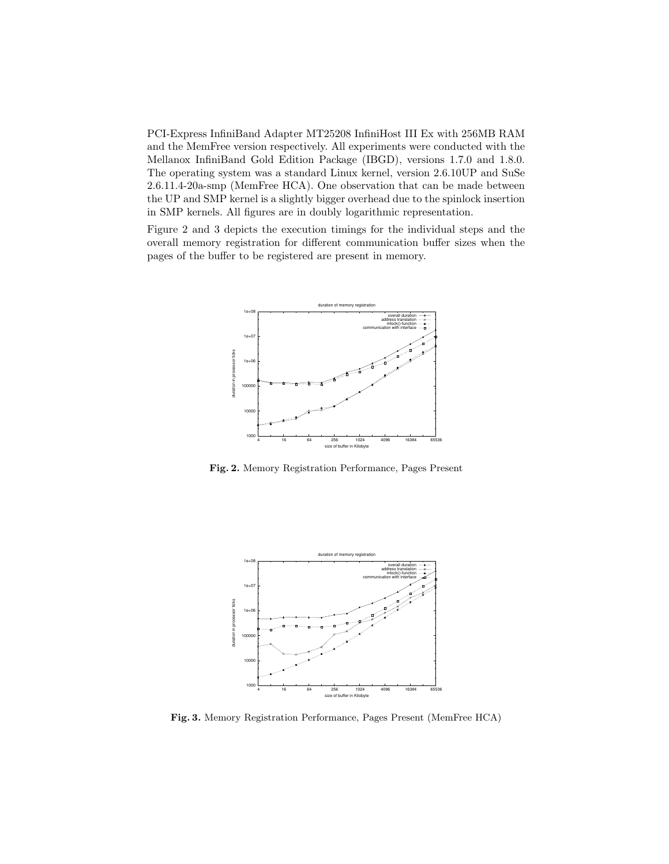PCI-Express InfiniBand Adapter MT25208 InfiniHost III Ex with 256MB RAM and the MemFree version respectively. All experiments were conducted with the Mellanox InfiniBand Gold Edition Package (IBGD), versions 1.7.0 and 1.8.0. The operating system was a standard Linux kernel, version 2.6.10UP and SuSe 2.6.11.4-20a-smp (MemFree HCA). One observation that can be made between the UP and SMP kernel is a slightly bigger overhead due to the spinlock insertion in SMP kernels. All figures are in doubly logarithmic representation.

Figure 2 and 3 depicts the execution timings for the individual steps and the overall memory registration for different communication buffer sizes when the pages of the buffer to be registered are present in memory.



Fig. 2. Memory Registration Performance, Pages Present



Fig. 3. Memory Registration Performance, Pages Present (MemFree HCA)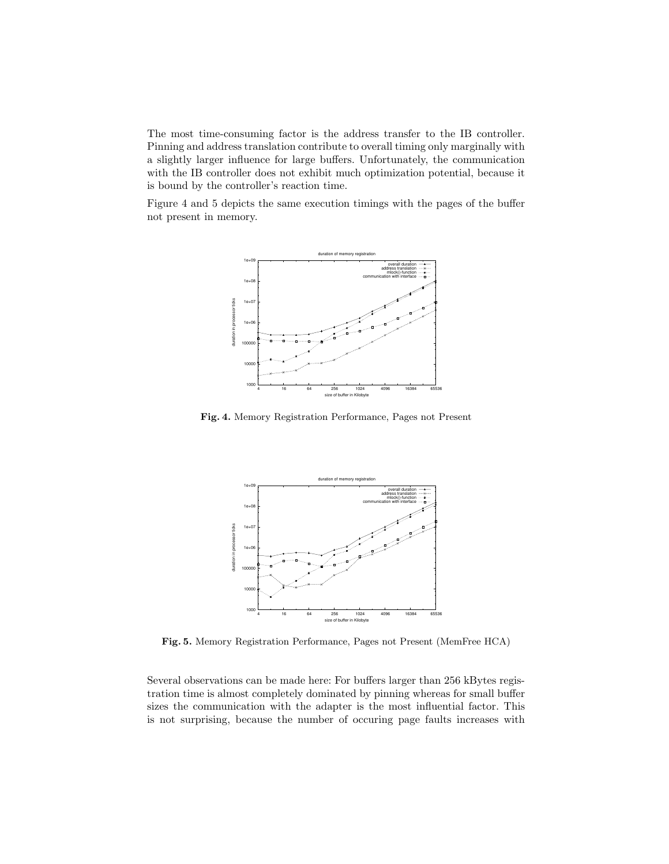The most time-consuming factor is the address transfer to the IB controller. Pinning and address translation contribute to overall timing only marginally with a slightly larger influence for large buffers. Unfortunately, the communication with the IB controller does not exhibit much optimization potential, because it is bound by the controller's reaction time.

Figure 4 and 5 depicts the same execution timings with the pages of the buffer not present in memory.



Fig. 4. Memory Registration Performance, Pages not Present



Fig. 5. Memory Registration Performance, Pages not Present (MemFree HCA)

Several observations can be made here: For buffers larger than 256 kBytes registration time is almost completely dominated by pinning whereas for small buffer sizes the communication with the adapter is the most influential factor. This is not surprising, because the number of occuring page faults increases with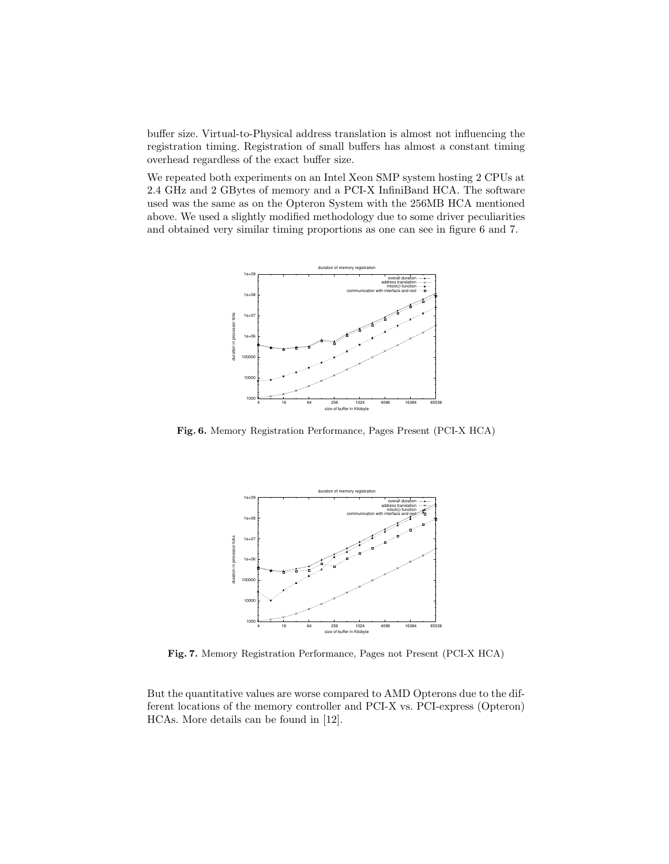buffer size. Virtual-to-Physical address translation is almost not influencing the registration timing. Registration of small buffers has almost a constant timing overhead regardless of the exact buffer size.

We repeated both experiments on an Intel Xeon SMP system hosting 2 CPUs at 2.4 GHz and 2 GBytes of memory and a PCI-X InfiniBand HCA. The software used was the same as on the Opteron System with the 256MB HCA mentioned above. We used a slightly modified methodology due to some driver peculiarities and obtained very similar timing proportions as one can see in figure 6 and 7.



Fig. 6. Memory Registration Performance, Pages Present (PCI-X HCA)



Fig. 7. Memory Registration Performance, Pages not Present (PCI-X HCA)

But the quantitative values are worse compared to AMD Opterons due to the different locations of the memory controller and PCI-X vs. PCI-express (Opteron) HCAs. More details can be found in [12].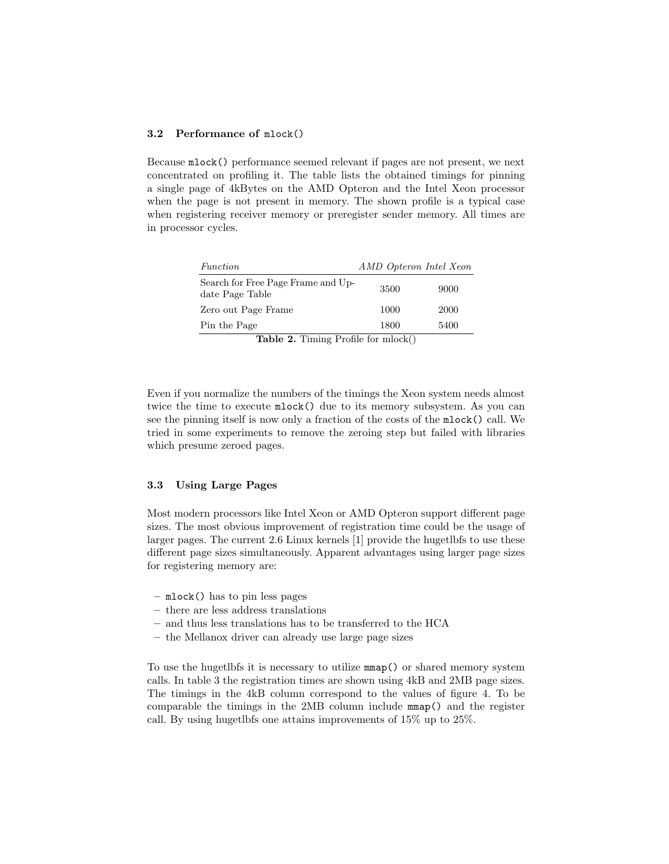#### 3.2 Performance of mlock()

Because mlock() performance seemed relevant if pages are not present, we next concentrated on profiling it. The table lists the obtained timings for pinning a single page of 4kBytes on the AMD Opteron and the Intel Xeon processor when the page is not present in memory. The shown profile is a typical case when registering receiver memory or preregister sender memory. All times are in processor cycles.

| Function                                              | AMD Opteron Intel Xeon |      |  |  |
|-------------------------------------------------------|------------------------|------|--|--|
| Search for Free Page Frame and Up-<br>date Page Table | 3500                   | 9000 |  |  |
| Zero out Page Frame                                   | 1000                   | 2000 |  |  |
| Pin the Page                                          | 1800                   | 5400 |  |  |
| <b>Table 2.</b> Timing Profile for mlock()            |                        |      |  |  |

Even if you normalize the numbers of the timings the Xeon system needs almost twice the time to execute mlock() due to its memory subsystem. As you can see the pinning itself is now only a fraction of the costs of the mlock() call. We tried in some experiments to remove the zeroing step but failed with libraries which presume zeroed pages.

#### 3.3 Using Large Pages

Most modern processors like Intel Xeon or AMD Opteron support different page sizes. The most obvious improvement of registration time could be the usage of larger pages. The current 2.6 Linux kernels [1] provide the hugetlbfs to use these different page sizes simultaneously. Apparent advantages using larger page sizes for registering memory are:

- mlock() has to pin less pages
- there are less address translations
- and thus less translations has to be transferred to the HCA
- the Mellanox driver can already use large page sizes

To use the hugetlbfs it is necessary to utilize mmap() or shared memory system calls. In table 3 the registration times are shown using 4kB and 2MB page sizes. The timings in the 4kB column correspond to the values of figure 4. To be comparable the timings in the 2MB column include mmap() and the register call. By using hugetlbfs one attains improvements of 15% up to 25%.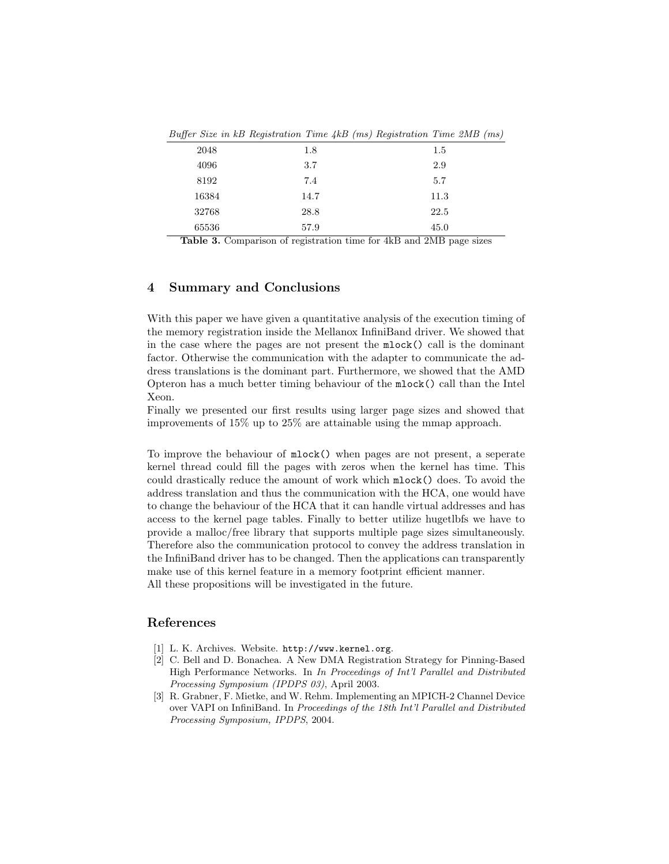|       | $L$ and $L$ is a second control $L$ and $L$ and $L$ and $L$ and $L$ and $L$ and $L$ and $L$ |      |
|-------|---------------------------------------------------------------------------------------------|------|
| 2048  | 1.8                                                                                         | 1.5  |
| 4096  | 3.7                                                                                         | 2.9  |
| 8192  | 7.4                                                                                         | 5.7  |
| 16384 | 14.7                                                                                        | 11.3 |
| 32768 | 28.8                                                                                        | 22.5 |
| 65536 | 57.9                                                                                        | 45.0 |

Buffer Size in kB Registration Time 4kB (ms) Registration Time 2MB (ms)

Table 3. Comparison of registration time for 4kB and 2MB page sizes

# 4 Summary and Conclusions

With this paper we have given a quantitative analysis of the execution timing of the memory registration inside the Mellanox InfiniBand driver. We showed that in the case where the pages are not present the mlock() call is the dominant factor. Otherwise the communication with the adapter to communicate the address translations is the dominant part. Furthermore, we showed that the AMD Opteron has a much better timing behaviour of the mlock() call than the Intel Xeon.

Finally we presented our first results using larger page sizes and showed that improvements of 15% up to 25% are attainable using the mmap approach.

To improve the behaviour of mlock() when pages are not present, a seperate kernel thread could fill the pages with zeros when the kernel has time. This could drastically reduce the amount of work which mlock() does. To avoid the address translation and thus the communication with the HCA, one would have to change the behaviour of the HCA that it can handle virtual addresses and has access to the kernel page tables. Finally to better utilize hugetlbfs we have to provide a malloc/free library that supports multiple page sizes simultaneously. Therefore also the communication protocol to convey the address translation in the InfiniBand driver has to be changed. Then the applications can transparently make use of this kernel feature in a memory footprint efficient manner. All these propositions will be investigated in the future.

## References

- [1] L. K. Archives. Website. http://www.kernel.org.
- [2] C. Bell and D. Bonachea. A New DMA Registration Strategy for Pinning-Based High Performance Networks. In In Proceedings of Int'l Parallel and Distributed Processing Symposium (IPDPS 03), April 2003.
- [3] R. Grabner, F. Mietke, and W. Rehm. Implementing an MPICH-2 Channel Device over VAPI on InfiniBand. In Proceedings of the 18th Int'l Parallel and Distributed Processing Symposium, IPDPS, 2004.